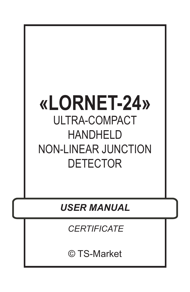## **«LORNET-24»** ULTRA-COMPACT HANDHELD NON-LINEAR JUNCTION DETECTOR

*USER MANUAL*

*CERTIFICATE*

© TS-Market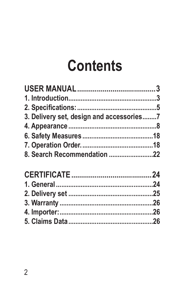# **Contents**

| 3. Delivery set, design and accessories7 |  |
|------------------------------------------|--|
|                                          |  |
|                                          |  |
|                                          |  |
| 8. Search Recommendation 22              |  |
|                                          |  |
|                                          |  |
|                                          |  |
|                                          |  |
|                                          |  |
|                                          |  |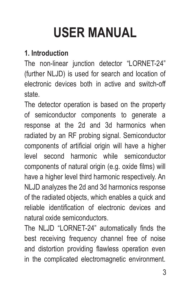# **USER MANUAL**

#### **1. Introduction**

The non-linear junction detector "LORNET-24" (further NLJD) is used for search and location of electronic devices both in active and switch-off state.

The detector operation is based on the property of semiconductor components to generate a response at the 2d and 3d harmonics when radiated by an RF probing signal. Semiconductor components of artificial origin will have a higher level second harmonic while semiconductor components of natural origin (e.g. oxide films) will have a higher level third harmonic respectively. An NLJD analyzes the 2d and 3d harmonics response of the radiated objects, which enables a quick and reliable identification of electronic devices and natural oxide semiconductors.

The NLJD "LORNET-24" automatically finds the best receiving frequency channel free of noise and distortion providing flawless operation even in the complicated electromagnetic environment.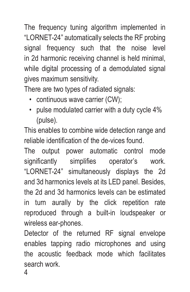The frequency tuning algorithm implemented in "LORNET-24" automatically selects the RF probing signal frequency such that the noise level in 2d harmonic receiving channel is held minimal, while digital processing of a demodulated signal gives maximum sensitivity.

There are two types of radiated signals:

- continuous wave carrier (CW);
- pulse modulated carrier with a duty cycle 4% (pulse).

This enables to combine wide detection range and reliable identification of the de-vices found.

The output power automatic control mode significantly simplifies operator's work. "LORNET-24" simultaneously displays the 2d and 3d harmonics levels at its LED panel. Besides, the 2d and 3d harmonics levels can be estimated in turn aurally by the click repetition rate reproduced through a built-in loudspeaker or wireless ear-phones.

Detector of the returned RF signal envelope enables tapping radio microphones and using the acoustic feedback mode which facilitates search work.

4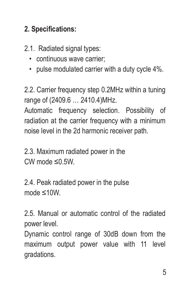#### **2. Specifications:**

2.1. Radiated signal types:

- continuous wave carrier;
- pulse modulated carrier with a duty cycle 4%.

2.2. Carrier frequency step 0.2MHz within a tuning range of (2409.6 … 2410.4)MHz. Automatic frequency selection. Possibility of radiation at the carrier frequency with a minimum noise level in the 2d harmonic receiver path.

2.3. Maximum radiated power in the CW mode ≤0.5W.

2.4. Peak radiated power in the pulse mode ≤10W.

2.5. Manual or automatic control of the radiated power level.

Dynamic control range of 30dB down from the maximum output power value with 11 level gradations.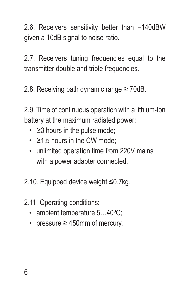2.6. Receivers sensitivity better than –140dBW given a 10dB signal to noise ratio.

2.7. Receivers tuning frequencies equal to the transmitter double and triple frequencies.

2.8. Receiving path dynamic range ≥ 70dB.

2.9. Time of continuous operation with a lithium-Ion battery at the maximum radiated power:

- $\cdot$   $\geq$ 3 hours in the pulse mode:
- ≥1,5 hours in the CW mode;
- unlimited operation time from 220V mains with a power adapter connected.

2.10. Equipped device weight ≤0.7kg.

- 2.11. Operating conditions:
	- ambient temperature 5...40°C:
	- pressure ≥ 450mm of mercury.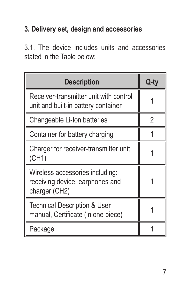### **3. Delivery set, design and accessories**

3.1. The device includes units and accessories stated in the Table below:

| <b>Description</b>                                                                  | Q-ty |
|-------------------------------------------------------------------------------------|------|
| Receiver-transmitter unit with control<br>unit and built-in battery container       |      |
| Changeable Li-Ion batteries                                                         | 2    |
| Container for battery charging                                                      |      |
| Charger for receiver-transmitter unit<br>(CH1)                                      |      |
| Wireless accessories including:<br>receiving device, earphones and<br>charger (CH2) |      |
| <b>Technical Description &amp; User</b><br>manual, Certificate (in one piece)       |      |
| Package                                                                             |      |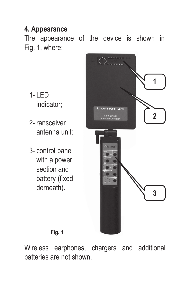#### **4. Appearance**

The appearance of the device is shown in Fig. 1, where:

- $1-IFD$ indicator;
- 2- ransceiver antenna unit;
- 3- control panel with a power section and battery (fixed derneath).



**Fig. 1**

Wireless earphones, chargers and additional batteries are not shown.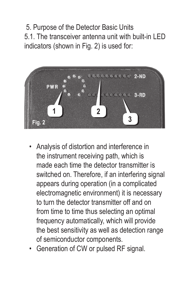5. Purpose of the Detector Basic Units 5.1. The transceiver antenna unit with built-in LED indicators (shown in Fig. 2) is used for:



- Analysis of distortion and interference in the instrument receiving path, which is made each time the detector transmitter is switched on. Therefore, if an interfering signal appears during operation (in a complicated electromagnetic environment) it is necessary to turn the detector transmitter off and on from time to time thus selecting an optimal frequency automatically, which will provide the best sensitivity as well as detection range of semiconductor components.
- Generation of CW or pulsed RF signal.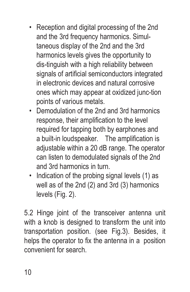- Reception and digital processing of the 2nd and the 3rd frequency harmonics. Simultaneous display of the 2nd and the 3rd harmonics levels gives the opportunity to dis-tinguish with a high reliability between signals of artificial semiconductors integrated in electronic devices and natural corrosive ones which may appear at oxidized junc-tion points of various metals.
- Demodulation of the 2nd and 3rd harmonics response, their amplification to the level required for tapping both by earphones and a built-in loudspeaker. The amplification is adjustable within a 20 dB range. The operator can listen to demodulated signals of the 2nd and 3rd harmonics in turn.
- Indication of the probing signal levels (1) as well as of the 2nd (2) and 3rd (3) harmonics levels (Fig. 2).

5.2 Hinge joint of the transceiver antenna unit with a knob is designed to transform the unit into transportation position. (see Fig.3). Besides, it helps the operator to fix the antenna in a position convenient for search.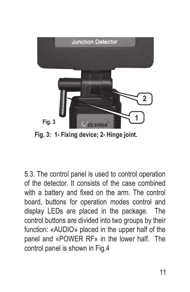

**Fig. 3: 1- Fixing device; 2- Hinge joint.**

5.3. The control panel is used to control operation of the detector. It consists of the case combined with a battery and fixed on the arm. The control board, buttons for operation modes control and display LEDs are placed in the package. The control buttons are divided into two groups by their function: «AUDIO» placed in the upper half of the panel and «POWER RF» in the lower half. The control panel is shown in Fig.4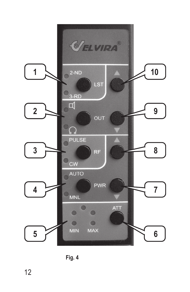

**Fig. 4**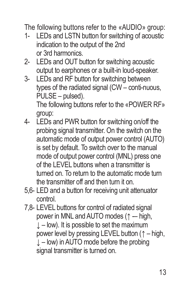The following buttons refer to the «AUDIO» group:

- 1- LEDs and LSTN button for switching of acoustic indication to the output of the 2nd or 3rd harmonics.
- 2- LEDs and OUT button for switching acoustic output to earphones or a built-in loud-speaker.
- 3- LEDs and RF button for switching between types of the radiated signal (CW – conti-nuous, PULSE – pulsed).

The following buttons refer to the «POWER RF» group:

- 4- LEDs and PWR button for switching on/off the probing signal transmitter. On the switch on the automatic mode of output power control (AUTO) is set by default. To switch over to the manual mode of output power control (MNL) press one of the LEVEL buttons when a transmitter is turned on. To return to the automatic mode turn the transmitter off and then turn it on.
- 5,6- LED and a button for receiving unit attenuator control.
- 7,8- LEVEL buttons for control of radiated signal power in MNL and AUTO modes (↑ – high,  $\perp$  – low). It is possible to set the maximum power level by pressing LEVEL button (↑ – high,  $\downarrow$  – low) in AUTO mode before the probing signal transmitter is turned on.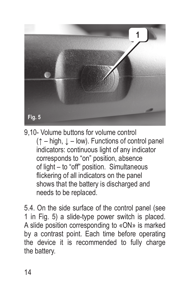

9,10- Volume buttons for volume control (↑ – high, ↓ – low). Functions of control panel indicators: continuous light of any indicator corresponds to "on" position, absence of light – to "off" position. Simultaneous flickering of all indicators on the panel shows that the battery is discharged and needs to be replaced.

5.4. On the side surface of the control panel (see 1 in Fig. 5) a slide-type power switch is placed. A slide position corresponding to «ON» is marked by a contrast point. Each time before operating the device it is recommended to fully charge the battery.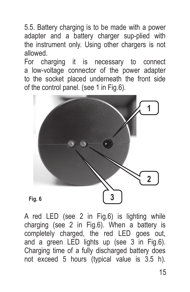5.5. Battery charging is to be made with a power adapter and a battery charger sup-plied with the instrument only. Using other chargers is not allowed.

For charging it is necessary to connect a low-voltage connector of the power adapter to the socket placed underneath the front side of the control panel. (see 1 in Fig.6).





A red LED (see 2 in Fig.6) is lighting while charging (see 2 in Fig.6). When a battery is completely charged, the red LED goes out, and a green LED lights up (see 3 in Fig.6). Charging time of a fully discharged battery does not exceed 5 hours (typical value is 3.5 h).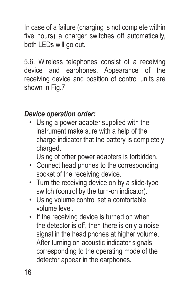In case of a failure (charging is not complete within five hours) a charger switches off automatically, both LEDs will go out.

5.6. Wireless telephones consist of a receiving device and earphones. Appearance of the receiving device and position of control units are shown in Fig.7

### *Device operation order:*

• Using a power adapter supplied with the instrument make sure with a help of the charge indicator that the battery is completely charged.

Using of other power adapters is forbidden.

- Connect head phones to the corresponding socket of the receiving device.
- Turn the receiving device on by a slide-type switch (control by the turn-on indicator).
- Using volume control set a comfortable volume level.
- If the receiving device is turned on when the detector is off, then there is only a noise signal in the head phones at higher volume. After turning on acoustic indicator signals corresponding to the operating mode of the detector appear in the earphones.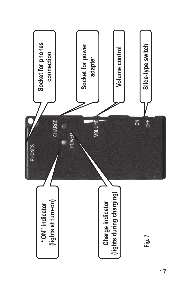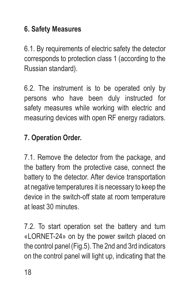#### **6. Safety Measures**

6.1. By requirements of electric safety the detector corresponds to protection class 1 (according to the Russian standard).

6.2. The instrument is to be operated only by persons who have been duly instructed for safety measures while working with electric and measuring devices with open RF energy radiators.

#### **7. Operation Order.**

7.1. Remove the detector from the package, and the battery from the protective case, connect the battery to the detector. After device transportation at negative temperatures it is necessary to keep the device in the switch-off state at room temperature at least 30 minutes.

7.2. To start operation set the battery and turn «LORNET-24» on by the power switch placed on the control panel (Fig.5). The 2nd and 3rd indicators on the control panel will light up, indicating that the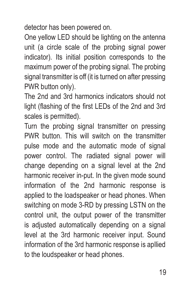detector has been powered on.

One yellow LED should be lighting on the antenna unit (a circle scale of the probing signal power indicator). Its initial position corresponds to the maximum power of the probing signal. The probing signal transmitter is off (it is turned on after pressing PWR button only).

The 2nd and 3rd harmonics indicators should not light (flashing of the first LEDs of the 2nd and 3rd scales is permitted).

Turn the probing signal transmitter on pressing PWR button. This will switch on the transmitter pulse mode and the automatic mode of signal power control. The radiated signal power will change depending on a signal level at the 2nd harmonic receiver in-put. In the given mode sound information of the 2nd harmonic response is applied to the loadspeaker or head phones. When switching on mode 3-RD by pressing LSTN on the control unit, the output power of the transmitter is adjusted automatically depending on a signal level at the 3rd harmonic receiver input. Sound information of the 3rd harmonic response is apllied to the loudspeaker or head phones.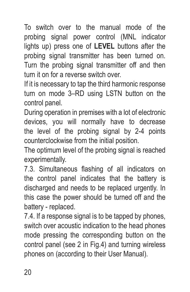To switch over to the manual mode of the probing signal power control (MNL indicator lights up) press one of **LEVEL** buttons after the probing signal transmitter has been turned on. Turn the probing signal transmitter off and then turn it on for a reverse switch over.

If it is necessary to tap the third harmonic response turn on mode 3–RD using LSTN button on the control panel.

During operation in premises with a lot of electronic devices, you will normally have to decrease the level of the probing signal by 2-4 points counterclockwise from the initial position.

The optimum level of the probing signal is reached experimentally.

7.3. Simultaneous flashing of all indicators on the control panel indicates that the battery is discharged and needs to be replaced urgently. In this case the power should be turned off and the battery - replaced.

7.4. If a response signal is to be tapped by phones, switch over acoustic indication to the head phones mode pressing the corresponding button on the control panel (see 2 in Fig.4) and turning wireless phones on (according to their User Manual).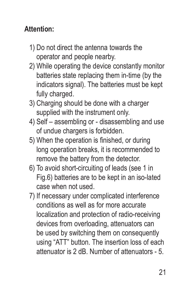#### **Attention:**

- 1) Do not direct the antenna towards the operator and people nearby.
- 2) While operating the device constantly monitor batteries state replacing them in-time (by the indicators signal). The batteries must be kept fully charged.
- 3) Charging should be done with a charger supplied with the instrument only.
- 4) Self assembling or disassembling and use of undue chargers is forbidden.
- 5) When the operation is finished, or during long operation breaks, it is recommended to remove the battery from the detector.
- 6) To avoid short-circuiting of leads (see 1 in Fig.6) batteries are to be kept in an iso-lated case when not used.
- 7) If necessary under complicated interference conditions as well as for more accurate localization and protection of radio-receiving devices from overloading, attenuators can be used by switching them on consequently using "ATT" button. The insertion loss of each attenuator is 2 dB. Number of attenuators - 5.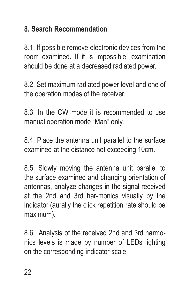### **8. Search Recommendation**

8.1. If possible remove electronic devices from the room examined. If it is impossible, examination should be done at a decreased radiated power.

8.2. Set maximum radiated power level and one of the operation modes of the receiver.

8.3. In the CW mode it is recommended to use manual operation mode "Man" only.

8.4. Place the antenna unit parallel to the surface examined at the distance not exceeding 10cm.

8.5. Slowly moving the antenna unit parallel to the surface examined and changing orientation of antennas, analyze changes in the signal received at the 2nd and 3rd har-monics visually by the indicator (aurally the click repetition rate should be maximum).

8.6. Analysis of the received 2nd and 3rd harmonics levels is made by number of LEDs lighting on the corresponding indicator scale.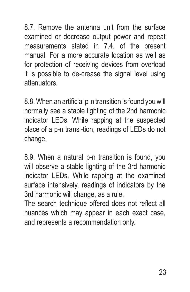8.7. Remove the antenna unit from the surface examined or decrease output power and repeat measurements stated in 7.4. of the present manual. For a more accurate location as well as for protection of receiving devices from overload it is possible to de-crease the signal level using attenuators.

8.8. When an artificial p-n transition is found you will normally see a stable lighting of the 2nd harmonic indicator LEDs. While rapping at the suspected place of a p-n transi-tion, readings of LEDs do not change.

8.9. When a natural p-n transition is found, you will observe a stable lighting of the 3rd harmonic indicator LEDs. While rapping at the examined surface intensively, readings of indicators by the 3rd harmonic will change, as a rule.

The search technique offered does not reflect all nuances which may appear in each exact case, and represents a recommendation only.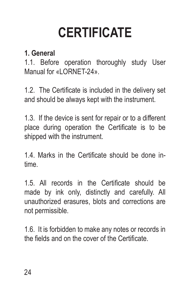# **CERTIFICATE**

#### **1. General**

1.1. Before operation thoroughly study User Manual for «LORNET-24».

1.2. The Certificate is included in the delivery set and should be always kept with the instrument.

1.3. If the device is sent for repair or to a different place during operation the Certificate is to be shipped with the instrument.

1.4. Marks in the Certificate should be done intime.

1.5. All records in the Certificate should be made by ink only, distinctly and carefully. All unauthorized erasures, blots and corrections are not permissible.

1.6. It is forbidden to make any notes or records in the fields and on the cover of the Certificate.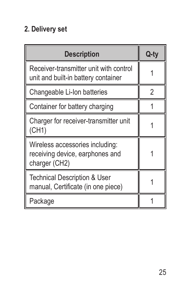### **2. Delivery set**

| <b>Description</b>                                                                  | Q-ty |
|-------------------------------------------------------------------------------------|------|
| Receiver-transmitter unit with control<br>unit and built-in battery container       |      |
| Changeable Li-Ion batteries                                                         | 2    |
| Container for battery charging                                                      |      |
| Charger for receiver-transmitter unit<br>(CH1)                                      |      |
| Wireless accessories including:<br>receiving device, earphones and<br>charger (CH2) |      |
| <b>Technical Description &amp; User</b><br>manual, Certificate (in one piece)       |      |
| Package                                                                             |      |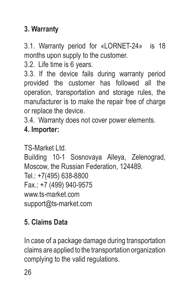## **3. Warranty**

3.1. Warranty period for «LORNET-24» is 18 months upon supply to the customer.

3.2. Life time is 6 years.

3.3. If the device fails during warranty period provided the customer has followed all the operation, transportation and storage rules, the manufacturer is to make the repair free of charge or replace the device.

3.4. Warranty does not cover power elements.

#### **4. Importer:**

TS-Market Ltd. Building 10-1 Sosnovaya Alleya, Zelenograd, Moscow, the Russian Federation, 124489. Tel.: +7(495) 638-8800 Fax.: +7 (499) 940-9575 www.ts-market.com support@ts-market.com

## **5. Claims Data**

In case of a package damage during transportation claims are applied to the transportation organization complying to the valid regulations.